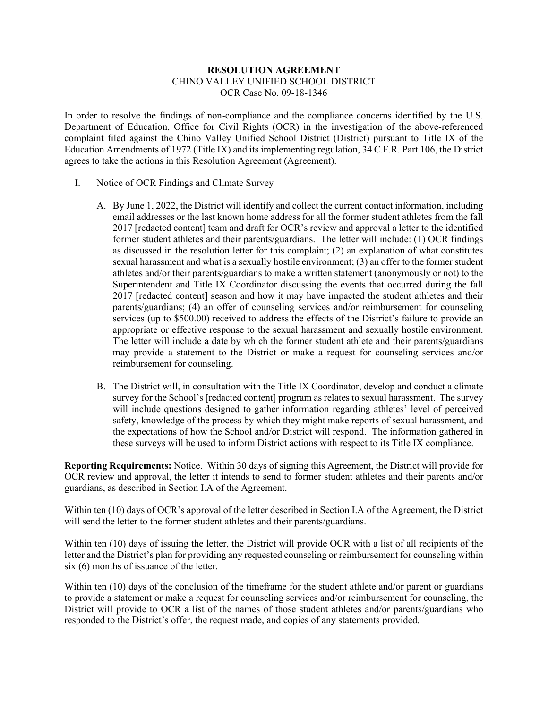# **RESOLUTION AGREEMENT** CHINO VALLEY UNIFIED SCHOOL DISTRICT OCR Case No. 09-18-1346

In order to resolve the findings of non-compliance and the compliance concerns identified by the U.S. Department of Education, Office for Civil Rights (OCR) in the investigation of the above-referenced complaint filed against the Chino Valley Unified School District (District) pursuant to Title IX of the Education Amendments of 1972 (Title IX) and its implementing regulation, 34 C.F.R. Part 106, the District agrees to take the actions in this Resolution Agreement (Agreement).

# I. Notice of OCR Findings and Climate Survey

- A. By June 1, 2022, the District will identify and collect the current contact information, including email addresses or the last known home address for all the former student athletes from the fall 2017 [redacted content] team and draft for OCR's review and approval a letter to the identified former student athletes and their parents/guardians. The letter will include: (1) OCR findings as discussed in the resolution letter for this complaint; (2) an explanation of what constitutes sexual harassment and what is a sexually hostile environment; (3) an offer to the former student athletes and/or their parents/guardians to make a written statement (anonymously or not) to the Superintendent and Title IX Coordinator discussing the events that occurred during the fall 2017 [redacted content] season and how it may have impacted the student athletes and their parents/guardians; (4) an offer of counseling services and/or reimbursement for counseling services (up to \$500.00) received to address the effects of the District's failure to provide an appropriate or effective response to the sexual harassment and sexually hostile environment. The letter will include a date by which the former student athlete and their parents/guardians may provide a statement to the District or make a request for counseling services and/or reimbursement for counseling.
- B. The District will, in consultation with the Title IX Coordinator, develop and conduct a climate survey for the School's [redacted content] program as relates to sexual harassment. The survey will include questions designed to gather information regarding athletes' level of perceived safety, knowledge of the process by which they might make reports of sexual harassment, and the expectations of how the School and/or District will respond. The information gathered in these surveys will be used to inform District actions with respect to its Title IX compliance.

**Reporting Requirements:** Notice. Within 30 days of signing this Agreement, the District will provide for OCR review and approval, the letter it intends to send to former student athletes and their parents and/or guardians, as described in Section I.A of the Agreement.

Within ten (10) days of OCR's approval of the letter described in Section I.A of the Agreement, the District will send the letter to the former student athletes and their parents/guardians.

Within ten (10) days of issuing the letter, the District will provide OCR with a list of all recipients of the letter and the District's plan for providing any requested counseling or reimbursement for counseling within six (6) months of issuance of the letter.

Within ten (10) days of the conclusion of the timeframe for the student athlete and/or parent or guardians to provide a statement or make a request for counseling services and/or reimbursement for counseling, the District will provide to OCR a list of the names of those student athletes and/or parents/guardians who responded to the District's offer, the request made, and copies of any statements provided.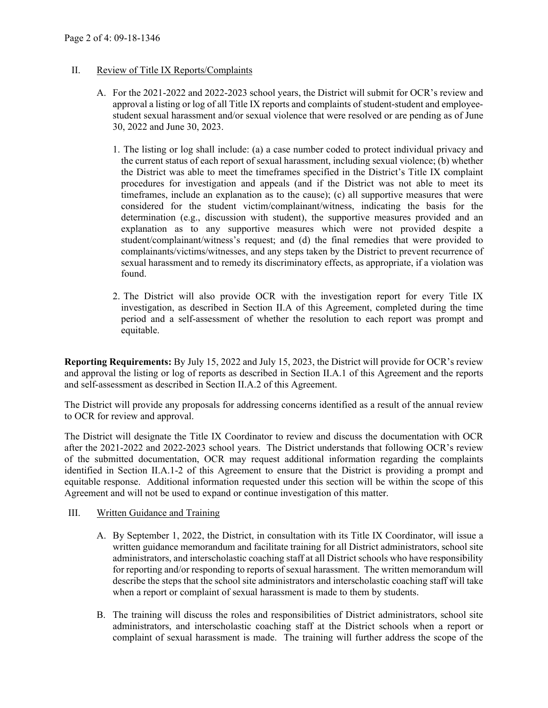# II. Review of Title IX Reports/Complaints

- A. For the 2021-2022 and 2022-2023 school years, the District will submit for OCR's review and approval a listing or log of all Title IX reports and complaints of student-student and employeestudent sexual harassment and/or sexual violence that were resolved or are pending as of June 30, 2022 and June 30, 2023.
	- 1. The listing or log shall include: (a) a case number coded to protect individual privacy and the current status of each report of sexual harassment, including sexual violence; (b) whether the District was able to meet the timeframes specified in the District's Title IX complaint procedures for investigation and appeals (and if the District was not able to meet its timeframes, include an explanation as to the cause); (c) all supportive measures that were considered for the student victim/complainant/witness, indicating the basis for the determination (e.g., discussion with student), the supportive measures provided and an explanation as to any supportive measures which were not provided despite a student/complainant/witness's request; and (d) the final remedies that were provided to complainants/victims/witnesses, and any steps taken by the District to prevent recurrence of sexual harassment and to remedy its discriminatory effects, as appropriate, if a violation was found.
	- 2. The District will also provide OCR with the investigation report for every Title IX investigation, as described in Section II.A of this Agreement, completed during the time period and a self-assessment of whether the resolution to each report was prompt and equitable.

**Reporting Requirements:** By July 15, 2022 and July 15, 2023, the District will provide for OCR's review and approval the listing or log of reports as described in Section II.A.1 of this Agreement and the reports and self-assessment as described in Section II.A.2 of this Agreement.

The District will provide any proposals for addressing concerns identified as a result of the annual review to OCR for review and approval.

The District will designate the Title IX Coordinator to review and discuss the documentation with OCR after the 2021-2022 and 2022-2023 school years. The District understands that following OCR's review of the submitted documentation, OCR may request additional information regarding the complaints identified in Section II.A.1-2 of this Agreement to ensure that the District is providing a prompt and equitable response. Additional information requested under this section will be within the scope of this Agreement and will not be used to expand or continue investigation of this matter.

#### III. Written Guidance and Training

- A. By September 1, 2022, the District, in consultation with its Title IX Coordinator, will issue a written guidance memorandum and facilitate training for all District administrators, school site administrators, and interscholastic coaching staff at all District schools who have responsibility for reporting and/or responding to reports of sexual harassment. The written memorandum will describe the steps that the school site administrators and interscholastic coaching staff will take when a report or complaint of sexual harassment is made to them by students.
- B. The training will discuss the roles and responsibilities of District administrators, school site administrators, and interscholastic coaching staff at the District schools when a report or complaint of sexual harassment is made. The training will further address the scope of the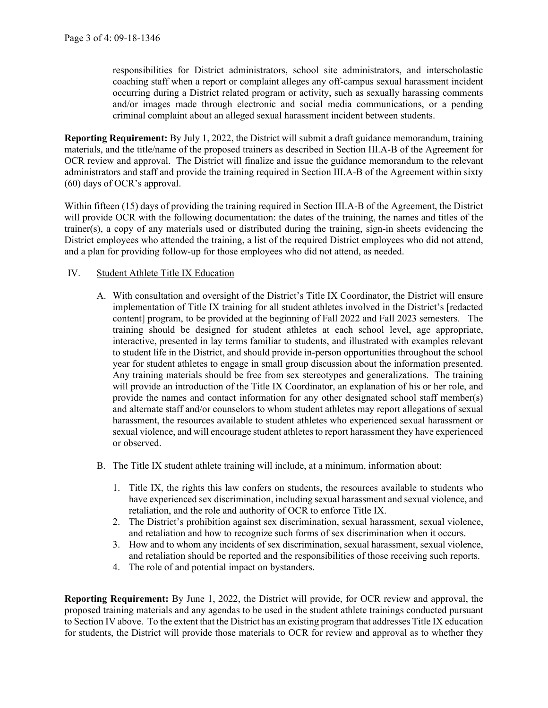responsibilities for District administrators, school site administrators, and interscholastic coaching staff when a report or complaint alleges any off-campus sexual harassment incident occurring during a District related program or activity, such as sexually harassing comments and/or images made through electronic and social media communications, or a pending criminal complaint about an alleged sexual harassment incident between students.

**Reporting Requirement:** By July 1, 2022, the District will submit a draft guidance memorandum, training materials, and the title/name of the proposed trainers as described in Section III.A-B of the Agreement for OCR review and approval. The District will finalize and issue the guidance memorandum to the relevant administrators and staff and provide the training required in Section III.A-B of the Agreement within sixty (60) days of OCR's approval.

Within fifteen (15) days of providing the training required in Section III.A-B of the Agreement, the District will provide OCR with the following documentation: the dates of the training, the names and titles of the trainer(s), a copy of any materials used or distributed during the training, sign-in sheets evidencing the District employees who attended the training, a list of the required District employees who did not attend, and a plan for providing follow-up for those employees who did not attend, as needed.

# IV. Student Athlete Title IX Education

- A. With consultation and oversight of the District's Title IX Coordinator, the District will ensure implementation of Title IX training for all student athletes involved in the District's [redacted content] program, to be provided at the beginning of Fall 2022 and Fall 2023 semesters. The training should be designed for student athletes at each school level, age appropriate, interactive, presented in lay terms familiar to students, and illustrated with examples relevant to student life in the District, and should provide in-person opportunities throughout the school year for student athletes to engage in small group discussion about the information presented. Any training materials should be free from sex stereotypes and generalizations. The training will provide an introduction of the Title IX Coordinator, an explanation of his or her role, and provide the names and contact information for any other designated school staff member(s) and alternate staff and/or counselors to whom student athletes may report allegations of sexual harassment, the resources available to student athletes who experienced sexual harassment or sexual violence, and will encourage student athletes to report harassment they have experienced or observed.
- B. The Title IX student athlete training will include, at a minimum, information about:
	- 1. Title IX, the rights this law confers on students, the resources available to students who have experienced sex discrimination, including sexual harassment and sexual violence, and retaliation, and the role and authority of OCR to enforce Title IX.
	- 2. The District's prohibition against sex discrimination, sexual harassment, sexual violence, and retaliation and how to recognize such forms of sex discrimination when it occurs.
	- 3. How and to whom any incidents of sex discrimination, sexual harassment, sexual violence, and retaliation should be reported and the responsibilities of those receiving such reports.
	- 4. The role of and potential impact on bystanders.

**Reporting Requirement:** By June 1, 2022, the District will provide, for OCR review and approval, the proposed training materials and any agendas to be used in the student athlete trainings conducted pursuant to Section IV above. To the extent that the District has an existing program that addresses Title IX education for students, the District will provide those materials to OCR for review and approval as to whether they